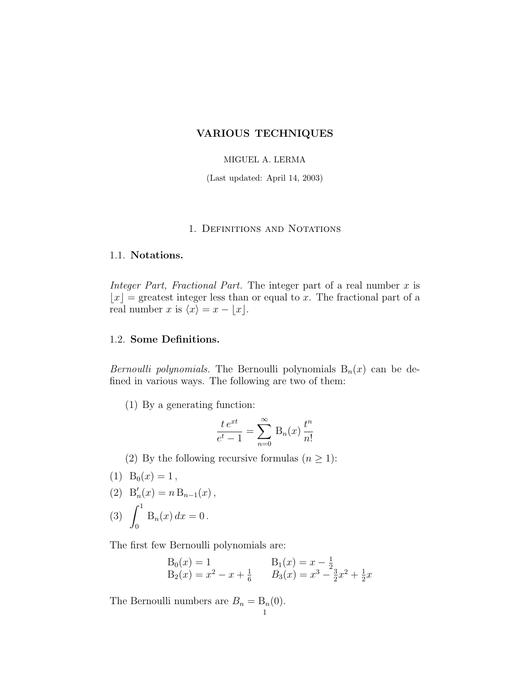## VARIOUS TECHNIQUES

# MIGUEL A. LERMA

(Last updated: April 14, 2003)

# 1. Definitions and Notations

 $\lfloor x \rfloor$  = greatest integer less than or equal to x. The fractional part of a real number x is  $\langle x \rangle = x - |x|$ real number x is  $\langle x \rangle = x - \lfloor x \rfloor$ .

 $B_{\text{total}}$  is proportionally the  $B_{\text{total}}$  polynomials  $B_{n}(x)$  can be de $f(x)$  in various ways. The following are two of them:

(1) By a generating function:

$$
\frac{t e^{xt}}{e^t - 1} = \sum_{n=0}^{\infty} B_n(x) \frac{t^n}{n!}
$$

(2) By the following recursive formulas  $(n \ge 1)$ :<br>(1) B<sub>0</sub>(x) = 1,

 $(-7 - 0)^{x}$  = 1  $B_{\prime}^{\prime}$ (2)  $D_n(x) = n D_{n-1}(x)$ ,<br>  $\int_0^1 D_n(x) dx = 0$  $\int_0^{\infty}$  by  $\int_0^{\infty}$  . The point of  $\int_0^{\infty}$ 

The first few Bernoulli polynomials are:

$$
B_0(x) = 1
$$
  
\n $B_2(x) = x^2 - x + \frac{1}{6}$   
\n $B_3(x) = x^3 - \frac{3}{2}x^2 + \frac{1}{2}x$ 

The Bernoulli numbers are  $B_n = B_n(0)$ .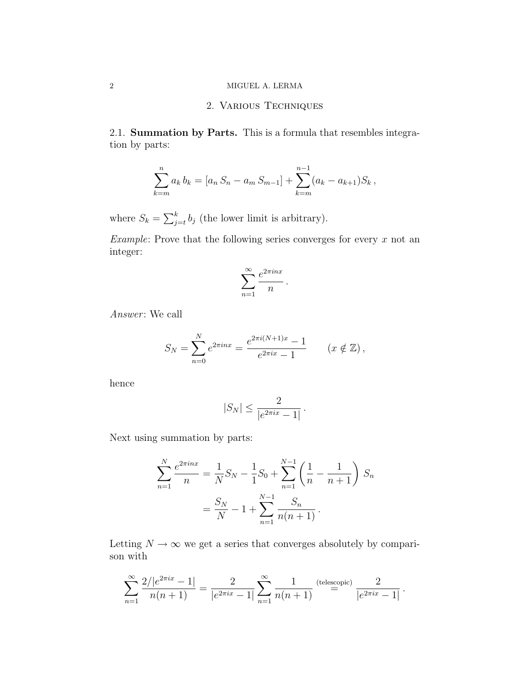## 2 MIGUEL A. LERMA

## 2. Various Techniques

2.1. Summation by Parts. This is a formula that resembles integration by parts:

$$
\sum_{k=m}^{n} a_k b_k = [a_n S_n - a_m S_{m-1}] + \sum_{k=m}^{n-1} (a_k - a_{k+1}) S_k,
$$

where  $S_k = \sum_{j=t}^{k} b_j$  (the lower limit is arbitrary).

Example: Prove that the following series converges for every  $x$  not an integer:

$$
\sum_{n=1}^{\infty} \frac{e^{2\pi i n x}}{n}.
$$

 $Answer: We call$ 

$$
S_N = \sum_{n=0}^N e^{2\pi i nx} = \frac{e^{2\pi i (N+1)x} - 1}{e^{2\pi i x} - 1} \qquad (x \notin \mathbb{Z}),
$$

$$
|S_N| \le \frac{2}{|e^{2\pi ix} - 1|}.
$$

Next using summation by parts:

$$
\sum_{n=1}^{N} \frac{e^{2\pi i n x}}{n} = \frac{1}{N} S_N - \frac{1}{1} S_0 + \sum_{n=1}^{N-1} \left( \frac{1}{n} - \frac{1}{n+1} \right) S_n
$$

$$
= \frac{S_N}{N} - 1 + \sum_{n=1}^{N-1} \frac{S_n}{n(n+1)}.
$$

Letting  $N \to \infty$  we get a series that converges absolutely by comparison with

$$
\sum_{n=1}^{\infty} \frac{2/|e^{2\pi ix} - 1|}{n(n+1)} = \frac{2}{|e^{2\pi ix} - 1|} \sum_{n=1}^{\infty} \frac{1}{n(n+1)} \stackrel{\text{(telescopic)}}{=} \frac{2}{|e^{2\pi ix} - 1|}.
$$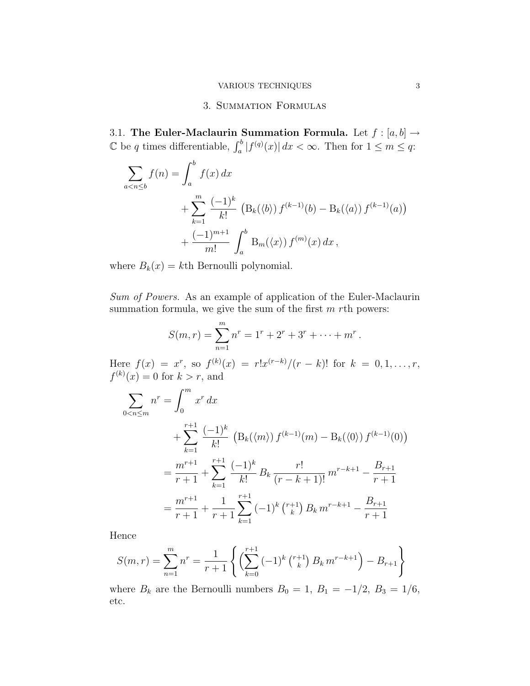### 3. Summation Formulas

3.1. The Euler-Maclaurin Summation Formula. Let  $f : [a, b] \to \mathbb{C}$  be a times differentiable.  $f^b | f^{(q)}(x)| dx \leq \infty$ . Then for  $1 \leq m \leq x$ .  $\mathbb C$  be q times differentiable,  $\int_a^b |f^{(q)}(x)| dx < \infty$ . Then for  $1 \le m \le q$ :

$$
\sum_{a < n \le b} f(n) = \int_{a}^{b} f(x) \, dx \\
+ \sum_{k=1}^{m} \frac{(-1)^k}{k!} \left( \mathcal{B}_k(\langle b \rangle) f^{(k-1)}(b) - \mathcal{B}_k(\langle a \rangle) f^{(k-1)}(a) \right) \\
+ \frac{(-1)^{m+1}}{m!} \int_{a}^{b} \mathcal{B}_m(\langle x \rangle) f^{(m)}(x) \, dx \, ,
$$

where  $B(x)$  is known in polynomial.

 $S^{univ}$   $\rightarrow$   $S^{univ}$  and  $S^{univ}$  are example of application of the Euler-Maclaurine of  $S^{univ}$ summation for  $\frac{1}{2}$  , we give the sum of the first m rth powers:

$$
S(m,r) = \sum_{n=1}^{m} n^{r} = 1^{r} + 2^{r} + 3^{r} + \dots + m^{r}.
$$

 $\text{Here } f(x) = x$ , so  $f^{(k)}(x) = 0$  for  $k > r$  and  $f(x) = r!x^{(r-k)}/(r-k)!$  for  $k = 0, 1, ..., r$ ,  $f^{(k)}(x) = 0$  for  $k > r$ , and

$$
\sum_{0 < n \le m} n^r = \int_0^m x^r \, dx
$$
\n
$$
+ \sum_{k=1}^{r+1} \frac{(-1)^k}{k!} \left( \mathcal{B}_k(\langle m \rangle) f^{(k-1)}(m) - \mathcal{B}_k(\langle 0 \rangle) f^{(k-1)}(0) \right)
$$
\n
$$
= \frac{m^{r+1}}{r+1} + \sum_{k=1}^{r+1} \frac{(-1)^k}{k!} B_k \frac{r!}{(r-k+1)!} m^{r-k+1} - \frac{B_{r+1}}{r+1}
$$
\n
$$
= \frac{m^{r+1}}{r+1} + \frac{1}{r+1} \sum_{k=1}^{r+1} (-1)^k \binom{r+1}{k} B_k m^{r-k+1} - \frac{B_{r+1}}{r+1}
$$

Hence

$$
S(m,r) = \sum_{n=1}^{m} n^{r} = \frac{1}{r+1} \left\{ \left( \sum_{k=0}^{r+1} (-1)^{k} \binom{r+1}{k} B_{k} m^{r-k+1} \right) - B_{r+1} \right\}
$$

where  $B_k$  are the Bernoulli numbers  $B_0 = 1$ ,  $B_1 = -1/2$ ,  $B_3 = 1/6$ , etc.